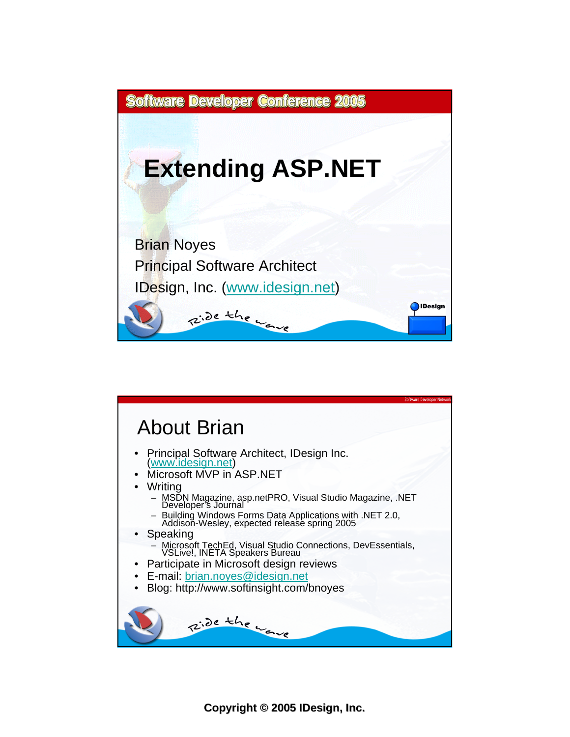



**Copyright Copyright © 2005 IDesign, Inc.**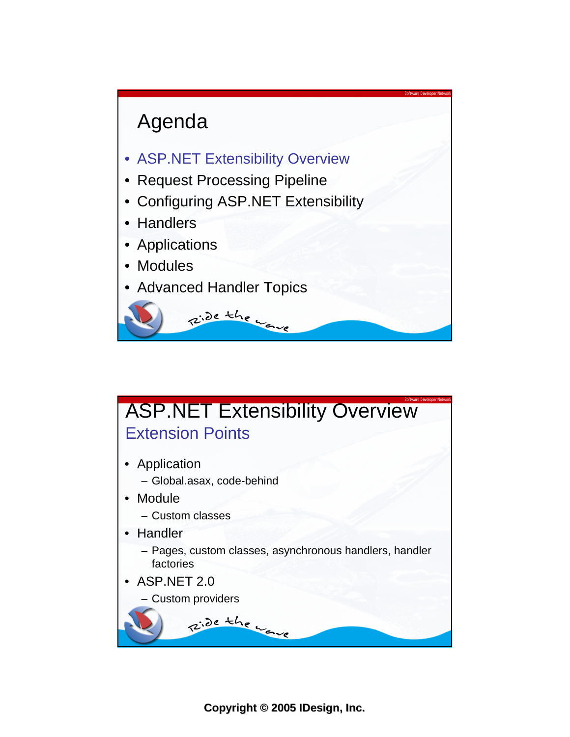

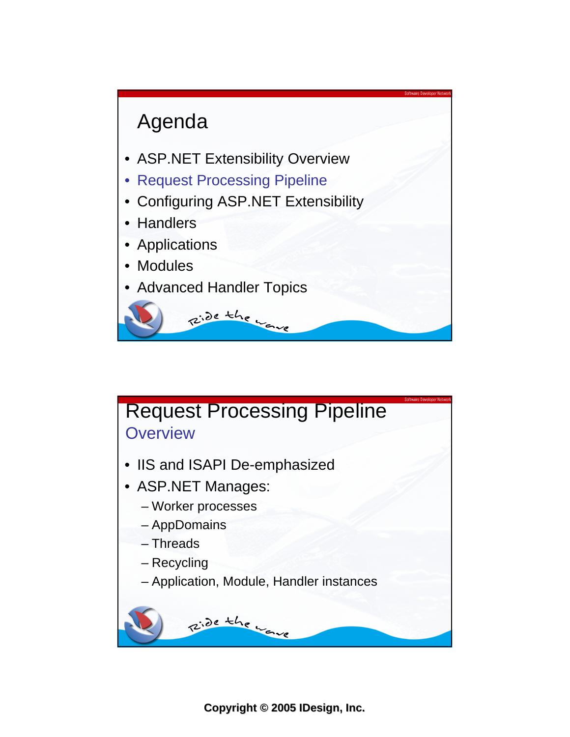

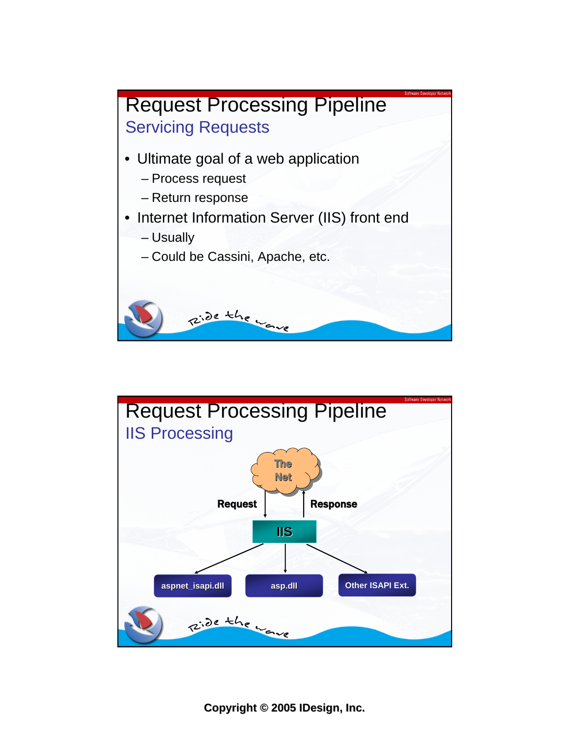

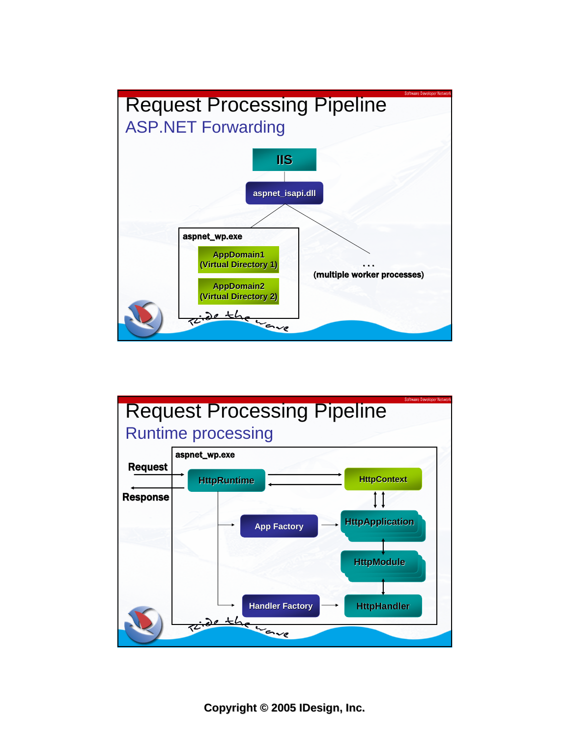

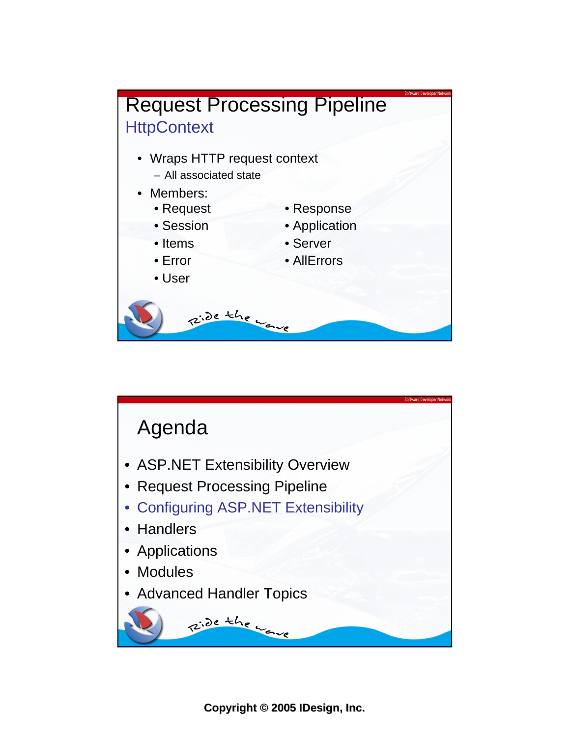

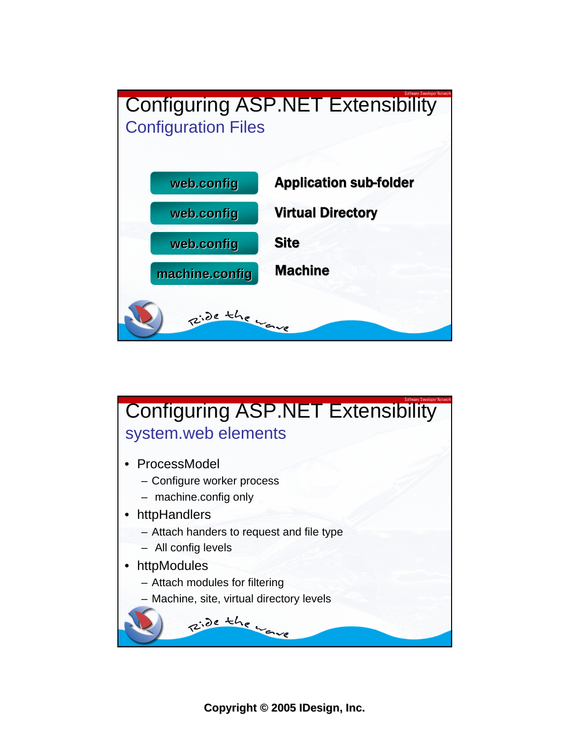



**Copyright Copyright © 2005 IDesign, Inc.**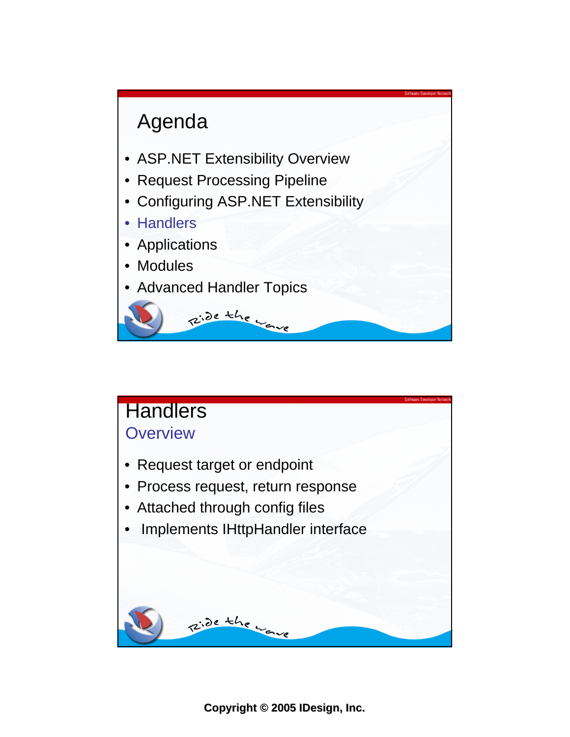

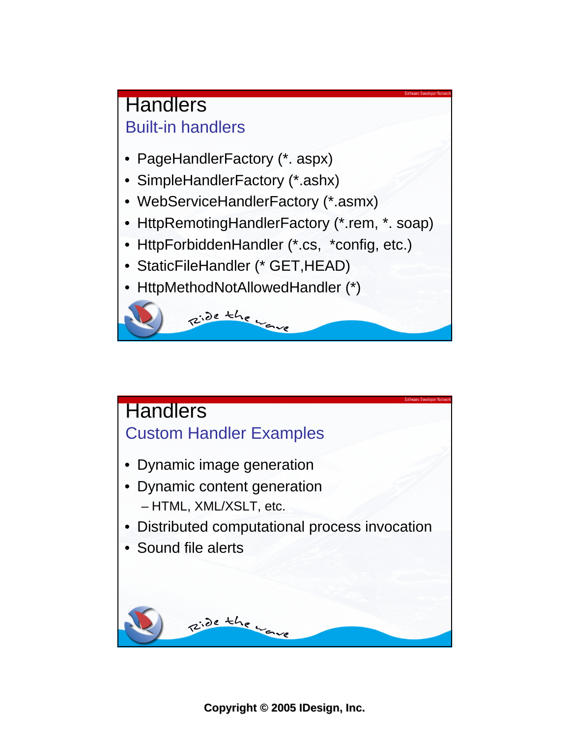

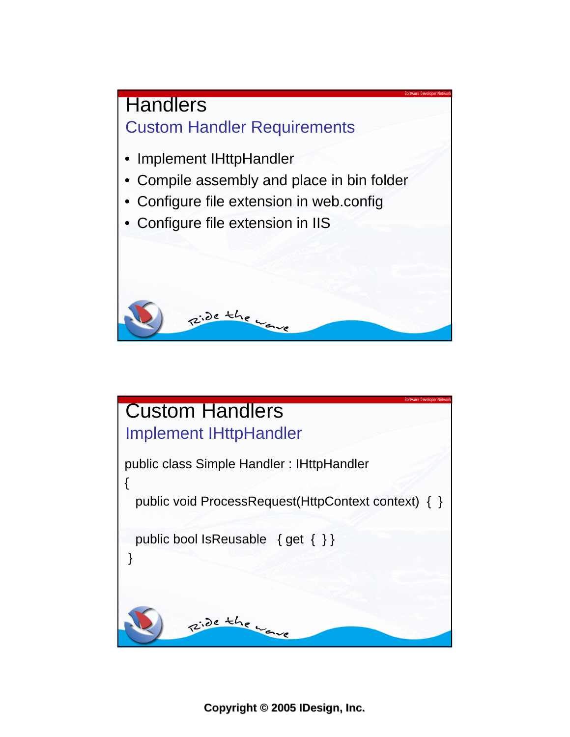

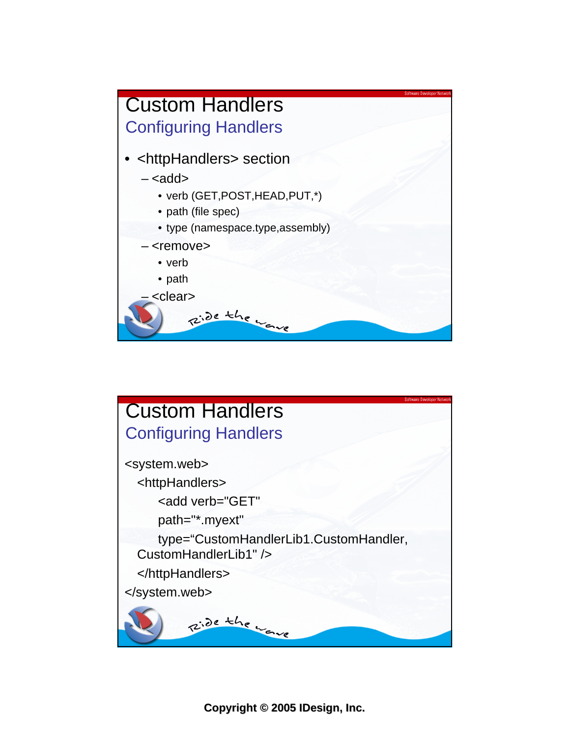

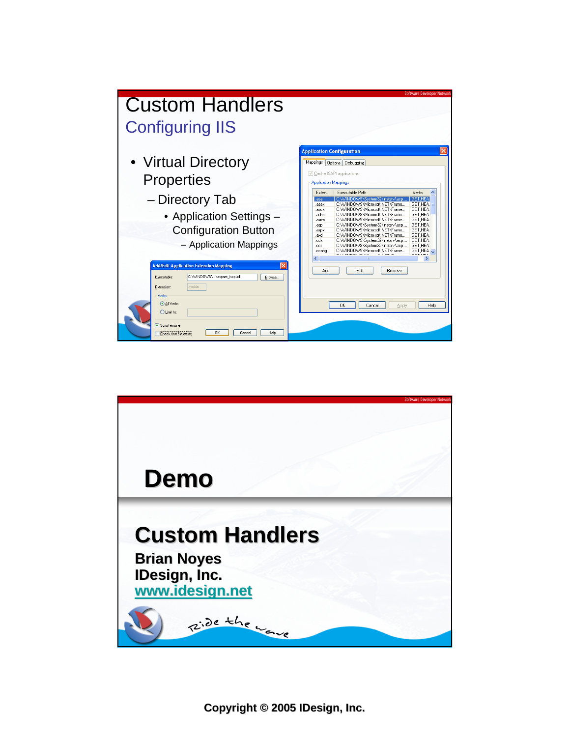

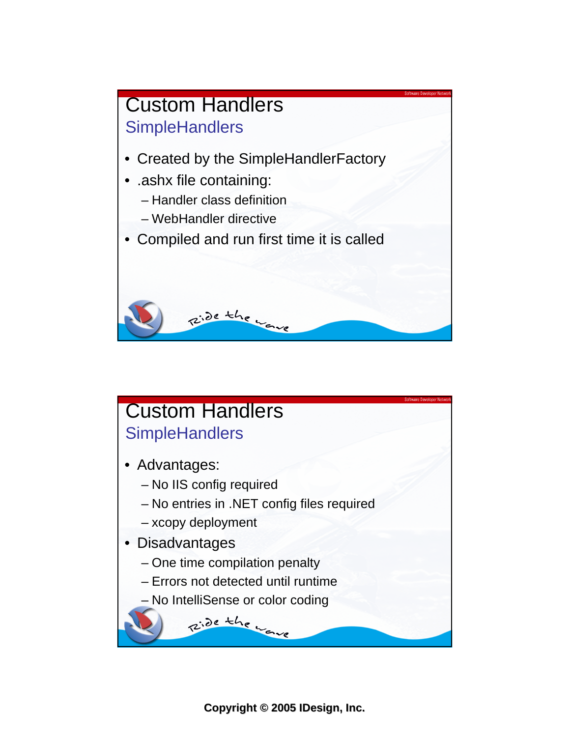

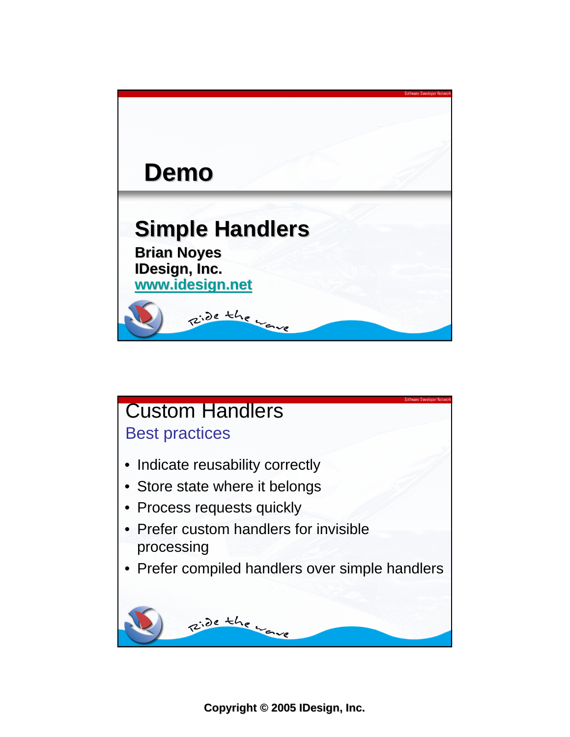

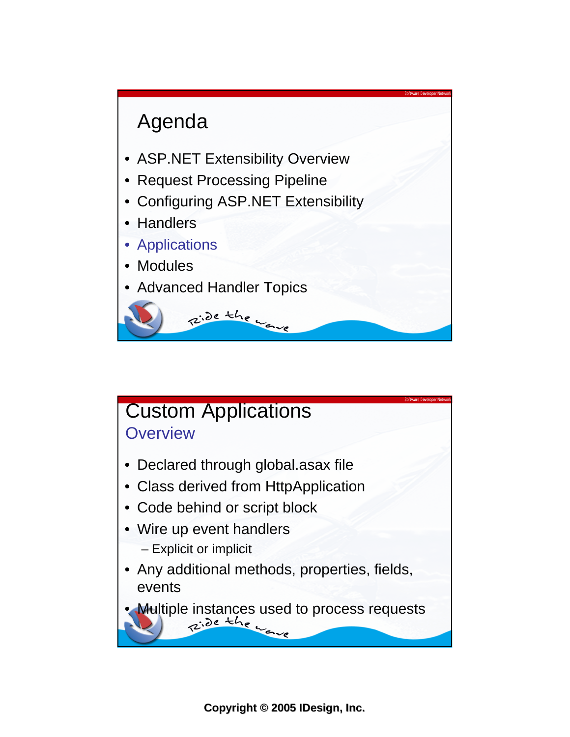

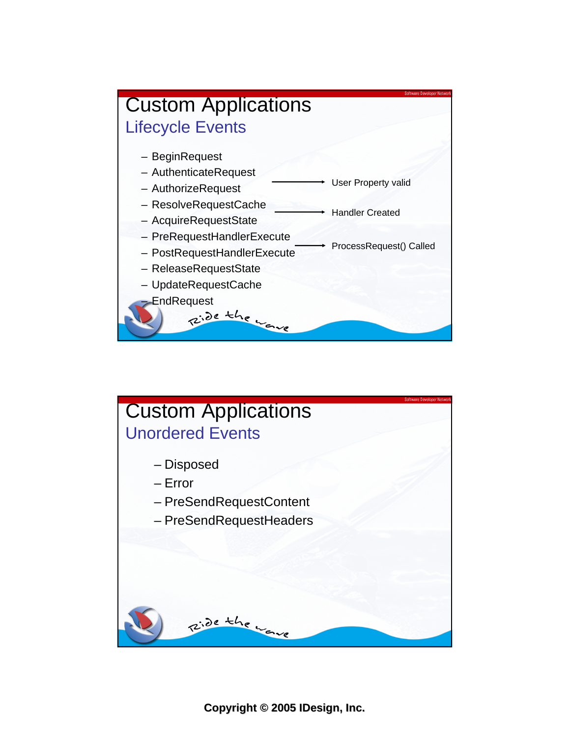

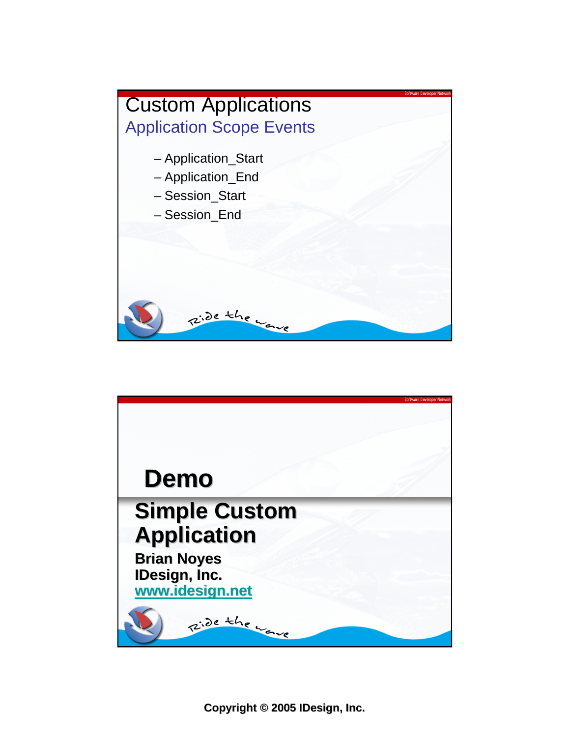

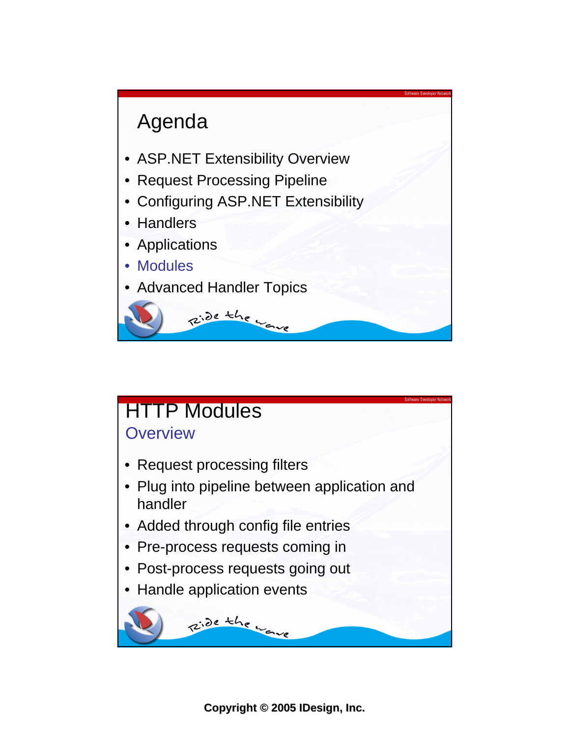

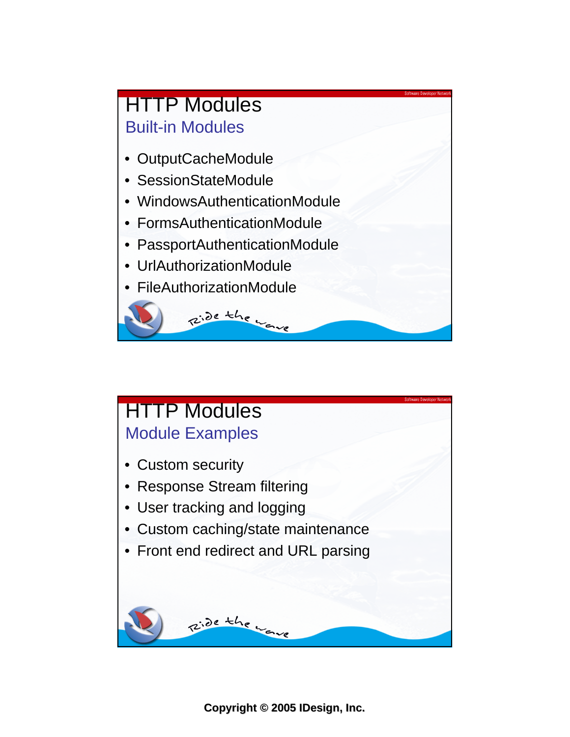## **HTTP Modules** Built-in Modules

- OutputCacheModule
- SessionStateModule
- WindowsAuthenticationModule
- FormsAuthenticationModule
- PassportAuthenticationModule

Ride the wave

- UrlAuthorizationModule
- FileAuthorizationModule

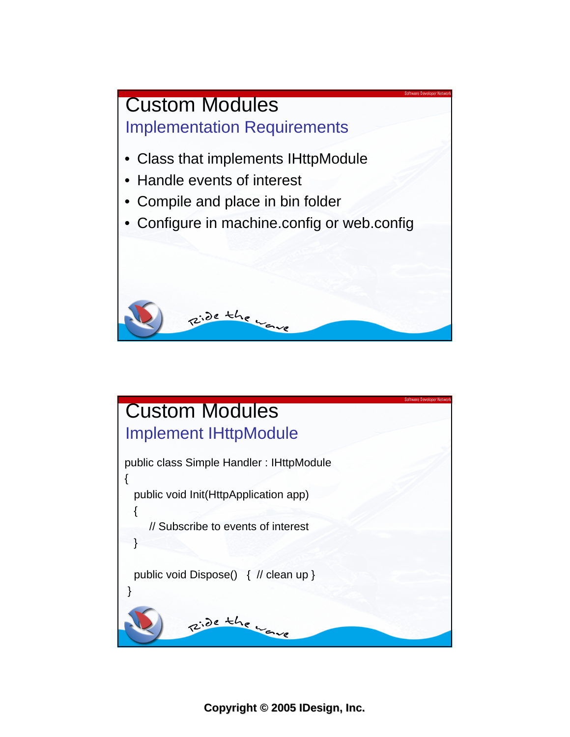

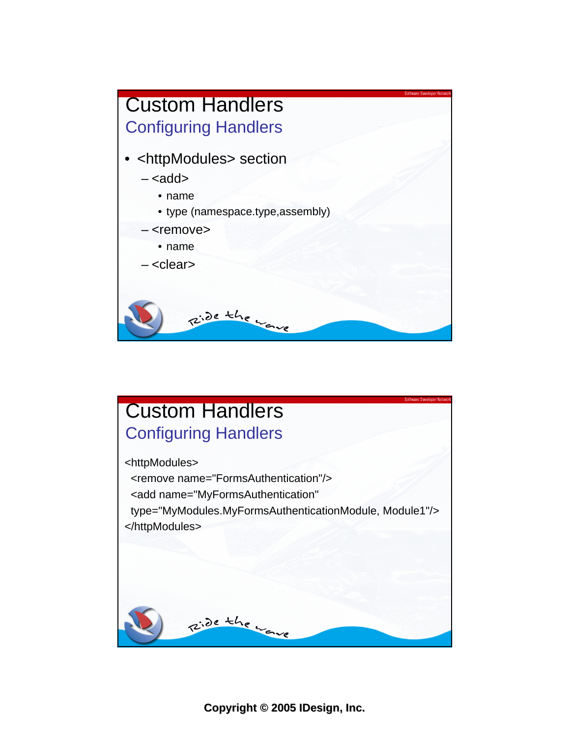

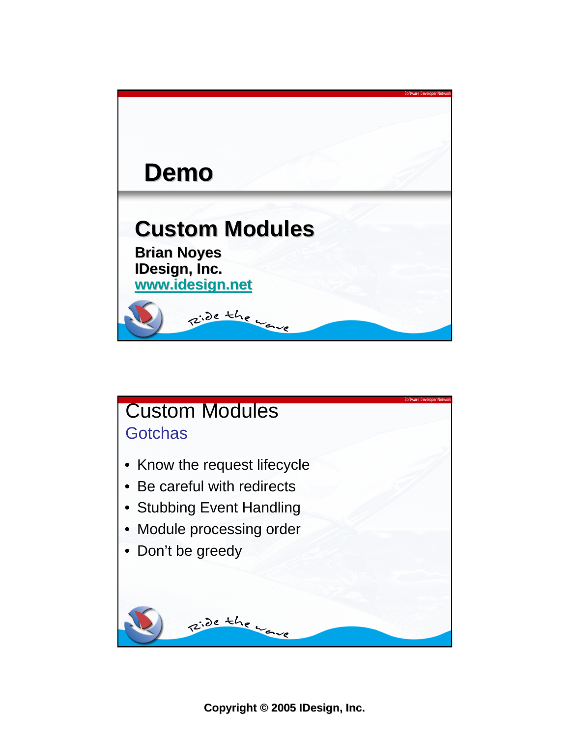

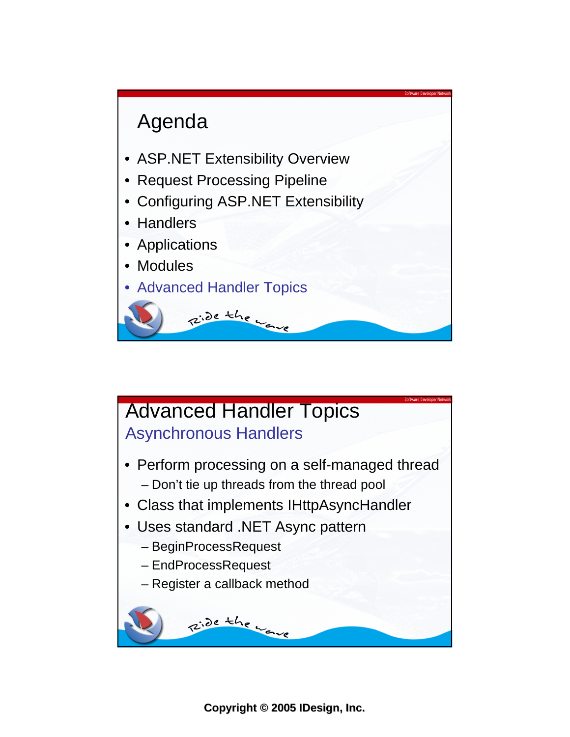

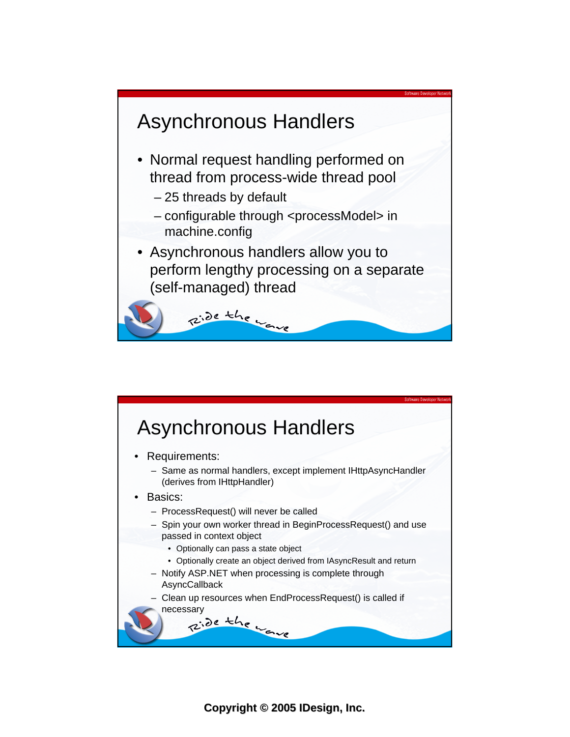



**Copyright Copyright © 2005 IDesign, Inc.**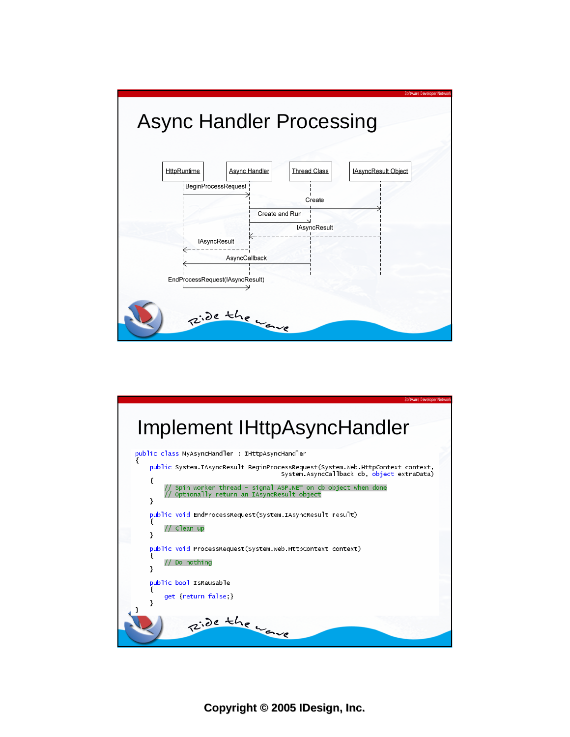

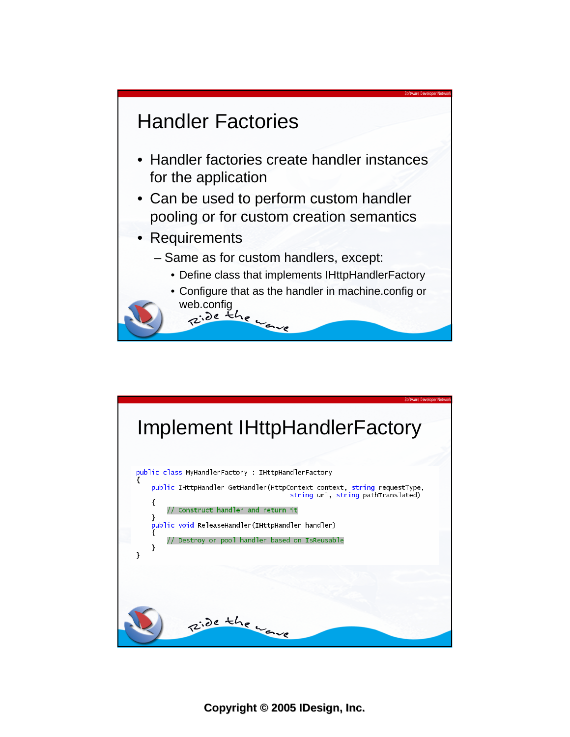